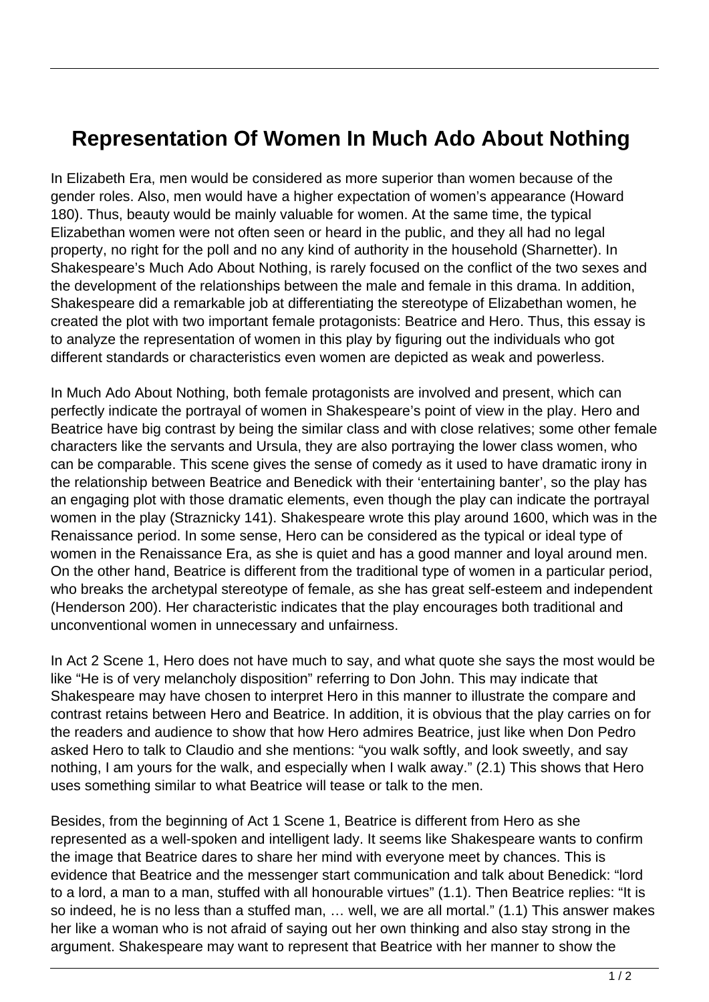## **Representation Of Women In Much Ado About Nothing**

In Elizabeth Era, men would be considered as more superior than women because of the gender roles. Also, men would have a higher expectation of women's appearance (Howard 180). Thus, beauty would be mainly valuable for women. At the same time, the typical Elizabethan women were not often seen or heard in the public, and they all had no legal property, no right for the poll and no any kind of authority in the household (Sharnetter). In Shakespeare's Much Ado About Nothing, is rarely focused on the conflict of the two sexes and the development of the relationships between the male and female in this drama. In addition, Shakespeare did a remarkable job at differentiating the stereotype of Elizabethan women, he created the plot with two important female protagonists: Beatrice and Hero. Thus, this essay is to analyze the representation of women in this play by figuring out the individuals who got different standards or characteristics even women are depicted as weak and powerless.

In Much Ado About Nothing, both female protagonists are involved and present, which can perfectly indicate the portrayal of women in Shakespeare's point of view in the play. Hero and Beatrice have big contrast by being the similar class and with close relatives; some other female characters like the servants and Ursula, they are also portraying the lower class women, who can be comparable. This scene gives the sense of comedy as it used to have dramatic irony in the relationship between Beatrice and Benedick with their 'entertaining banter', so the play has an engaging plot with those dramatic elements, even though the play can indicate the portrayal women in the play (Straznicky 141). Shakespeare wrote this play around 1600, which was in the Renaissance period. In some sense, Hero can be considered as the typical or ideal type of women in the Renaissance Era, as she is quiet and has a good manner and loyal around men. On the other hand, Beatrice is different from the traditional type of women in a particular period, who breaks the archetypal stereotype of female, as she has great self-esteem and independent (Henderson 200). Her characteristic indicates that the play encourages both traditional and unconventional women in unnecessary and unfairness.

In Act 2 Scene 1, Hero does not have much to say, and what quote she says the most would be like "He is of very melancholy disposition" referring to Don John. This may indicate that Shakespeare may have chosen to interpret Hero in this manner to illustrate the compare and contrast retains between Hero and Beatrice. In addition, it is obvious that the play carries on for the readers and audience to show that how Hero admires Beatrice, just like when Don Pedro asked Hero to talk to Claudio and she mentions: "you walk softly, and look sweetly, and say nothing, I am yours for the walk, and especially when I walk away." (2.1) This shows that Hero uses something similar to what Beatrice will tease or talk to the men.

Besides, from the beginning of Act 1 Scene 1, Beatrice is different from Hero as she represented as a well-spoken and intelligent lady. It seems like Shakespeare wants to confirm the image that Beatrice dares to share her mind with everyone meet by chances. This is evidence that Beatrice and the messenger start communication and talk about Benedick: "lord to a lord, a man to a man, stuffed with all honourable virtues" (1.1). Then Beatrice replies: "It is so indeed, he is no less than a stuffed man, … well, we are all mortal." (1.1) This answer makes her like a woman who is not afraid of saying out her own thinking and also stay strong in the argument. Shakespeare may want to represent that Beatrice with her manner to show the